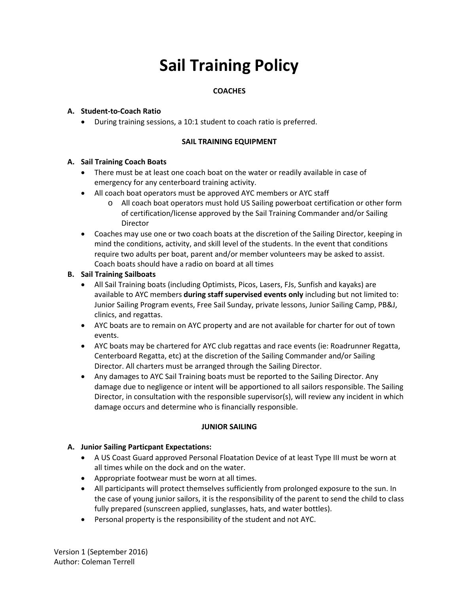# **Sail Training Policy**

# **COACHES**

#### **A. Student-to-Coach Ratio**

• During training sessions, a 10:1 student to coach ratio is preferred.

#### **SAIL TRAINING EQUIPMENT**

#### **A. Sail Training Coach Boats**

- There must be at least one coach boat on the water or readily available in case of emergency for any centerboard training activity.
- All coach boat operators must be approved AYC members or AYC staff
	- o All coach boat operators must hold US Sailing powerboat certification or other form of certification/license approved by the Sail Training Commander and/or Sailing Director
- Coaches may use one or two coach boats at the discretion of the Sailing Director, keeping in mind the conditions, activity, and skill level of the students. In the event that conditions require two adults per boat, parent and/or member volunteers may be asked to assist. Coach boats should have a radio on board at all times

#### **B. Sail Training Sailboats**

- All Sail Training boats (including Optimists, Picos, Lasers, FJs, Sunfish and kayaks) are available to AYC members **during staff supervised events only** including but not limited to: Junior Sailing Program events, Free Sail Sunday, private lessons, Junior Sailing Camp, PB&J, clinics, and regattas.
- AYC boats are to remain on AYC property and are not available for charter for out of town events.
- AYC boats may be chartered for AYC club regattas and race events (ie: Roadrunner Regatta, Centerboard Regatta, etc) at the discretion of the Sailing Commander and/or Sailing Director. All charters must be arranged through the Sailing Director.
- Any damages to AYC Sail Training boats must be reported to the Sailing Director. Any damage due to negligence or intent will be apportioned to all sailors responsible. The Sailing Director, in consultation with the responsible supervisor(s), will review any incident in which damage occurs and determine who is financially responsible.

#### **JUNIOR SAILING**

#### **A. Junior Sailing Particpant Expectations:**

- A US Coast Guard approved Personal Floatation Device of at least Type III must be worn at all times while on the dock and on the water.
- Appropriate footwear must be worn at all times.
- All participants will protect themselves sufficiently from prolonged exposure to the sun. In the case of young junior sailors, it is the responsibility of the parent to send the child to class fully prepared (sunscreen applied, sunglasses, hats, and water bottles).
- Personal property is the responsibility of the student and not AYC.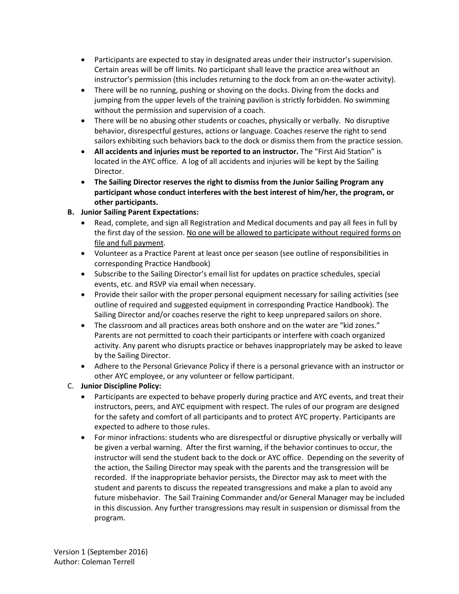- Participants are expected to stay in designated areas under their instructor's supervision. Certain areas will be off limits. No participant shall leave the practice area without an instructor's permission (this includes returning to the dock from an on-the-water activity).
- There will be no running, pushing or shoving on the docks. Diving from the docks and jumping from the upper levels of the training pavilion is strictly forbidden. No swimming without the permission and supervision of a coach.
- There will be no abusing other students or coaches, physically or verbally. No disruptive behavior, disrespectful gestures, actions or language. Coaches reserve the right to send sailors exhibiting such behaviors back to the dock or dismiss them from the practice session.
- **All accidents and injuries must be reported to an instructor.** The "First Aid Station" is located in the AYC office. A log of all accidents and injuries will be kept by the Sailing Director.
- **The Sailing Director reserves the right to dismiss from the Junior Sailing Program any participant whose conduct interferes with the best interest of him/her, the program, or other participants.**
- **B. Junior Sailing Parent Expectations:**
	- Read, complete, and sign all Registration and Medical documents and pay all fees in full by the first day of the session. No one will be allowed to participate without required forms on file and full payment.
	- Volunteer as a Practice Parent at least once per season (see outline of responsibilities in corresponding Practice Handbook)
	- Subscribe to the Sailing Director's email list for updates on practice schedules, special events, etc. and RSVP via email when necessary.
	- Provide their sailor with the proper personal equipment necessary for sailing activities (see outline of required and suggested equipment in corresponding Practice Handbook). The Sailing Director and/or coaches reserve the right to keep unprepared sailors on shore.
	- The classroom and all practices areas both onshore and on the water are "kid zones." Parents are not permitted to coach their participants or interfere with coach organized activity. Any parent who disrupts practice or behaves inappropriately may be asked to leave by the Sailing Director.
	- Adhere to the Personal Grievance Policy if there is a personal grievance with an instructor or other AYC employee, or any volunteer or fellow participant.
- C. **Junior Discipline Policy:** 
	- Participants are expected to behave properly during practice and AYC events, and treat their instructors, peers, and AYC equipment with respect. The rules of our program are designed for the safety and comfort of all participants and to protect AYC property. Participants are expected to adhere to those rules.
	- For minor infractions: students who are disrespectful or disruptive physically or verbally will be given a verbal warning. After the first warning, if the behavior continues to occur, the instructor will send the student back to the dock or AYC office. Depending on the severity of the action, the Sailing Director may speak with the parents and the transgression will be recorded. If the inappropriate behavior persists, the Director may ask to meet with the student and parents to discuss the repeated transgressions and make a plan to avoid any future misbehavior. The Sail Training Commander and/or General Manager may be included in this discussion. Any further transgressions may result in suspension or dismissal from the program.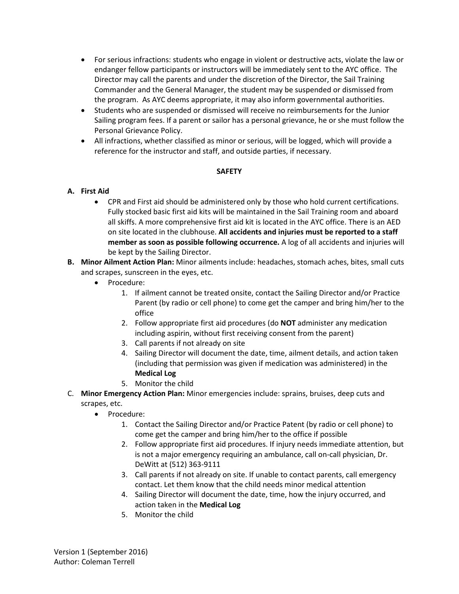- For serious infractions: students who engage in violent or destructive acts, violate the law or endanger fellow participants or instructors will be immediately sent to the AYC office. The Director may call the parents and under the discretion of the Director, the Sail Training Commander and the General Manager, the student may be suspended or dismissed from the program. As AYC deems appropriate, it may also inform governmental authorities.
- Students who are suspended or dismissed will receive no reimbursements for the Junior Sailing program fees. If a parent or sailor has a personal grievance, he or she must follow the Personal Grievance Policy.
- All infractions, whether classified as minor or serious, will be logged, which will provide a reference for the instructor and staff, and outside parties, if necessary.

## **SAFETY**

## **A. First Aid**

- CPR and First aid should be administered only by those who hold current certifications. Fully stocked basic first aid kits will be maintained in the Sail Training room and aboard all skiffs. A more comprehensive first aid kit is located in the AYC office. There is an AED on site located in the clubhouse. **All accidents and injuries must be reported to a staff member as soon as possible following occurrence.** A log of all accidents and injuries will be kept by the Sailing Director.
- **B. Minor Ailment Action Plan:** Minor ailments include: headaches, stomach aches, bites, small cuts and scrapes, sunscreen in the eyes, etc.
	- Procedure:
		- 1. If ailment cannot be treated onsite, contact the Sailing Director and/or Practice Parent (by radio or cell phone) to come get the camper and bring him/her to the office
		- 2. Follow appropriate first aid procedures (do **NOT** administer any medication including aspirin, without first receiving consent from the parent)
		- 3. Call parents if not already on site
		- 4. Sailing Director will document the date, time, ailment details, and action taken (including that permission was given if medication was administered) in the **Medical Log**
		- 5. Monitor the child
- C. **Minor Emergency Action Plan:** Minor emergencies include: sprains, bruises, deep cuts and scrapes, etc.
	- Procedure:
		- 1. Contact the Sailing Director and/or Practice Patent (by radio or cell phone) to come get the camper and bring him/her to the office if possible
		- 2. Follow appropriate first aid procedures. If injury needs immediate attention, but is not a major emergency requiring an ambulance, call on-call physician, Dr. DeWitt at (512) 363-9111
		- 3. Call parents if not already on site. If unable to contact parents, call emergency contact. Let them know that the child needs minor medical attention
		- 4. Sailing Director will document the date, time, how the injury occurred, and action taken in the **Medical Log**
		- 5. Monitor the child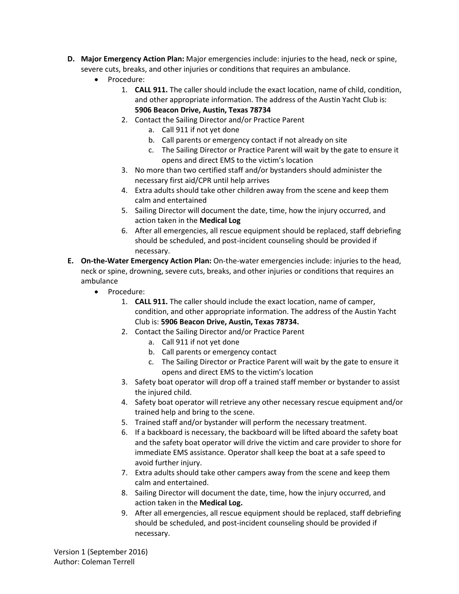- **D. Major Emergency Action Plan:** Major emergencies include: injuries to the head, neck or spine, severe cuts, breaks, and other injuries or conditions that requires an ambulance.
	- Procedure:
		- 1. **CALL 911.** The caller should include the exact location, name of child, condition, and other appropriate information. The address of the Austin Yacht Club is: **5906 Beacon Drive, Austin, Texas 78734**
		- 2. Contact the Sailing Director and/or Practice Parent
			- a. Call 911 if not yet done
			- b. Call parents or emergency contact if not already on site
			- c. The Sailing Director or Practice Parent will wait by the gate to ensure it opens and direct EMS to the victim's location
		- 3. No more than two certified staff and/or bystanders should administer the necessary first aid/CPR until help arrives
		- 4. Extra adults should take other children away from the scene and keep them calm and entertained
		- 5. Sailing Director will document the date, time, how the injury occurred, and action taken in the **Medical Log**
		- 6. After all emergencies, all rescue equipment should be replaced, staff debriefing should be scheduled, and post-incident counseling should be provided if necessary.
- **E. On-the-Water Emergency Action Plan:** On-the-water emergencies include: injuries to the head, neck or spine, drowning, severe cuts, breaks, and other injuries or conditions that requires an ambulance
	- Procedure:
		- 1. **CALL 911.** The caller should include the exact location, name of camper, condition, and other appropriate information. The address of the Austin Yacht Club is: **5906 Beacon Drive, Austin, Texas 78734.**
		- 2. Contact the Sailing Director and/or Practice Parent
			- a. Call 911 if not yet done
			- b. Call parents or emergency contact
			- c. The Sailing Director or Practice Parent will wait by the gate to ensure it opens and direct EMS to the victim's location
		- 3. Safety boat operator will drop off a trained staff member or bystander to assist the injured child.
		- 4. Safety boat operator will retrieve any other necessary rescue equipment and/or trained help and bring to the scene.
		- 5. Trained staff and/or bystander will perform the necessary treatment.
		- 6. If a backboard is necessary, the backboard will be lifted aboard the safety boat and the safety boat operator will drive the victim and care provider to shore for immediate EMS assistance. Operator shall keep the boat at a safe speed to avoid further injury.
		- 7. Extra adults should take other campers away from the scene and keep them calm and entertained.
		- 8. Sailing Director will document the date, time, how the injury occurred, and action taken in the **Medical Log.**
		- 9. After all emergencies, all rescue equipment should be replaced, staff debriefing should be scheduled, and post-incident counseling should be provided if necessary.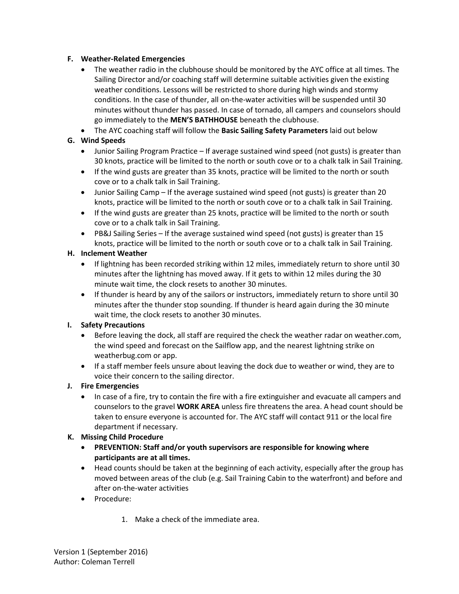## **F. Weather-Related Emergencies**

- The weather radio in the clubhouse should be monitored by the AYC office at all times. The Sailing Director and/or coaching staff will determine suitable activities given the existing weather conditions. Lessons will be restricted to shore during high winds and stormy conditions. In the case of thunder, all on-the-water activities will be suspended until 30 minutes without thunder has passed. In case of tornado, all campers and counselors should go immediately to the **MEN'S BATHHOUSE** beneath the clubhouse.
- The AYC coaching staff will follow the **Basic Sailing Safety Parameters** laid out below

# **G. Wind Speeds**

- Junior Sailing Program Practice If average sustained wind speed (not gusts) is greater than 30 knots, practice will be limited to the north or south cove or to a chalk talk in Sail Training.
- If the wind gusts are greater than 35 knots, practice will be limited to the north or south cove or to a chalk talk in Sail Training.
- Junior Sailing Camp If the average sustained wind speed (not gusts) is greater than 20 knots, practice will be limited to the north or south cove or to a chalk talk in Sail Training.
- If the wind gusts are greater than 25 knots, practice will be limited to the north or south cove or to a chalk talk in Sail Training.
- PB&J Sailing Series If the average sustained wind speed (not gusts) is greater than 15 knots, practice will be limited to the north or south cove or to a chalk talk in Sail Training.

## **H. Inclement Weather**

- If lightning has been recorded striking within 12 miles, immediately return to shore until 30 minutes after the lightning has moved away. If it gets to within 12 miles during the 30 minute wait time, the clock resets to another 30 minutes.
- If thunder is heard by any of the sailors or instructors, immediately return to shore until 30 minutes after the thunder stop sounding. If thunder is heard again during the 30 minute wait time, the clock resets to another 30 minutes.

## **I. Safety Precautions**

- Before leaving the dock, all staff are required the check the weather radar on weather.com, the wind speed and forecast on the Sailflow app, and the nearest lightning strike on weatherbug.com or app.
- If a staff member feels unsure about leaving the dock due to weather or wind, they are to voice their concern to the sailing director.

## **J. Fire Emergencies**

• In case of a fire, try to contain the fire with a fire extinguisher and evacuate all campers and counselors to the gravel **WORK AREA** unless fire threatens the area. A head count should be taken to ensure everyone is accounted for. The AYC staff will contact 911 or the local fire department if necessary.

## **K. Missing Child Procedure**

- **PREVENTION: Staff and/or youth supervisors are responsible for knowing where participants are at all times.**
- Head counts should be taken at the beginning of each activity, especially after the group has moved between areas of the club (e.g. Sail Training Cabin to the waterfront) and before and after on-the-water activities
- Procedure:
	- 1. Make a check of the immediate area.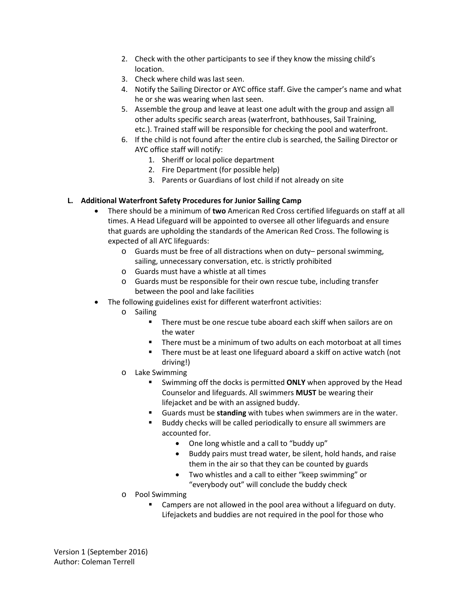- 2. Check with the other participants to see if they know the missing child's location.
- 3. Check where child was last seen.
- 4. Notify the Sailing Director or AYC office staff. Give the camper's name and what he or she was wearing when last seen.
- 5. Assemble the group and leave at least one adult with the group and assign all other adults specific search areas (waterfront, bathhouses, Sail Training, etc.). Trained staff will be responsible for checking the pool and waterfront.
- 6. If the child is not found after the entire club is searched, the Sailing Director or AYC office staff will notify:
	- 1. Sheriff or local police department
	- 2. Fire Department (for possible help)
	- 3. Parents or Guardians of lost child if not already on site

## **L. Additional Waterfront Safety Procedures for Junior Sailing Camp**

- There should be a minimum of **two** American Red Cross certified lifeguards on staff at all times. A Head Lifeguard will be appointed to oversee all other lifeguards and ensure that guards are upholding the standards of the American Red Cross. The following is expected of all AYC lifeguards:
	- o Guards must be free of all distractions when on duty– personal swimming, sailing, unnecessary conversation, etc. is strictly prohibited
	- o Guards must have a whistle at all times
	- o Guards must be responsible for their own rescue tube, including transfer between the pool and lake facilities
- The following guidelines exist for different waterfront activities:
	- o Sailing
		- There must be one rescue tube aboard each skiff when sailors are on the water
		- There must be a minimum of two adults on each motorboat at all times
		- **There must be at least one lifeguard aboard a skiff on active watch (not** driving!)
	- o Lake Swimming
		- Swimming off the docks is permitted **ONLY** when approved by the Head Counselor and lifeguards. All swimmers **MUST** be wearing their lifejacket and be with an assigned buddy.
		- Guards must be **standing** with tubes when swimmers are in the water.
		- Buddy checks will be called periodically to ensure all swimmers are accounted for.
			- One long whistle and a call to "buddy up"
			- Buddy pairs must tread water, be silent, hold hands, and raise them in the air so that they can be counted by guards
			- Two whistles and a call to either "keep swimming" or "everybody out" will conclude the buddy check
	- o Pool Swimming
		- Campers are not allowed in the pool area without a lifeguard on duty. Lifejackets and buddies are not required in the pool for those who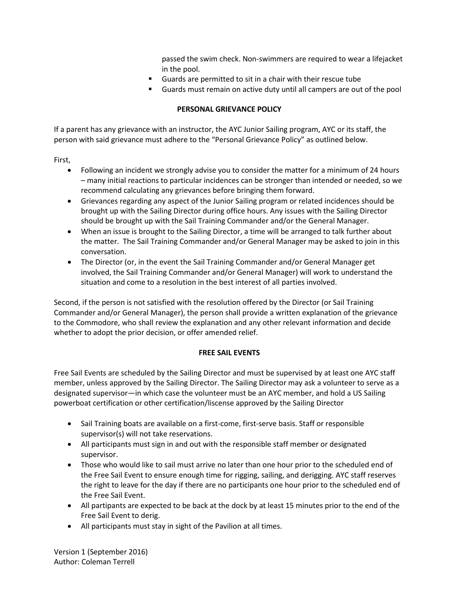passed the swim check. Non-swimmers are required to wear a lifejacket in the pool.

- Guards are permitted to sit in a chair with their rescue tube
- Guards must remain on active duty until all campers are out of the pool

#### **PERSONAL GRIEVANCE POLICY**

If a parent has any grievance with an instructor, the AYC Junior Sailing program, AYC or its staff, the person with said grievance must adhere to the "Personal Grievance Policy" as outlined below.

First,

- Following an incident we strongly advise you to consider the matter for a minimum of 24 hours – many initial reactions to particular incidences can be stronger than intended or needed, so we recommend calculating any grievances before bringing them forward.
- Grievances regarding any aspect of the Junior Sailing program or related incidences should be brought up with the Sailing Director during office hours. Any issues with the Sailing Director should be brought up with the Sail Training Commander and/or the General Manager.
- When an issue is brought to the Sailing Director, a time will be arranged to talk further about the matter. The Sail Training Commander and/or General Manager may be asked to join in this conversation.
- The Director (or, in the event the Sail Training Commander and/or General Manager get involved, the Sail Training Commander and/or General Manager) will work to understand the situation and come to a resolution in the best interest of all parties involved.

Second, if the person is not satisfied with the resolution offered by the Director (or Sail Training Commander and/or General Manager), the person shall provide a written explanation of the grievance to the Commodore, who shall review the explanation and any other relevant information and decide whether to adopt the prior decision, or offer amended relief.

#### **FREE SAIL EVENTS**

Free Sail Events are scheduled by the Sailing Director and must be supervised by at least one AYC staff member, unless approved by the Sailing Director. The Sailing Director may ask a volunteer to serve as a designated supervisor—in which case the volunteer must be an AYC member, and hold a US Sailing powerboat certification or other certification/liscense approved by the Sailing Director

- Sail Training boats are available on a first-come, first-serve basis. Staff or responsible supervisor(s) will not take reservations.
- All participants must sign in and out with the responsible staff member or designated supervisor.
- Those who would like to sail must arrive no later than one hour prior to the scheduled end of the Free Sail Event to ensure enough time for rigging, sailing, and derigging. AYC staff reserves the right to leave for the day if there are no participants one hour prior to the scheduled end of the Free Sail Event.
- All partipants are expected to be back at the dock by at least 15 minutes prior to the end of the Free Sail Event to derig.
- All participants must stay in sight of the Pavilion at all times.

Version 1 (September 2016) Author: Coleman Terrell